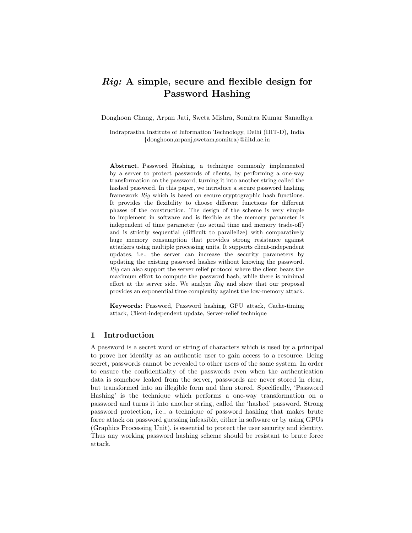# Rig: A simple, secure and flexible design for Password Hashing

Donghoon Chang, Arpan Jati, Sweta Mishra, Somitra Kumar Sanadhya

Indraprastha Institute of Information Technology, Delhi (IIIT-D), India {donghoon,arpanj,swetam,somitra}@iiitd.ac.in

Abstract. Password Hashing, a technique commonly implemented by a server to protect passwords of clients, by performing a one-way transformation on the password, turning it into another string called the hashed password. In this paper, we introduce a secure password hashing framework Rig which is based on secure cryptographic hash functions. It provides the flexibility to choose different functions for different phases of the construction. The design of the scheme is very simple to implement in software and is flexible as the memory parameter is independent of time parameter (no actual time and memory trade-off) and is strictly sequential (difficult to parallelize) with comparatively huge memory consumption that provides strong resistance against attackers using multiple processing units. It supports client-independent updates, i.e., the server can increase the security parameters by updating the existing password hashes without knowing the password. Rig can also support the server relief protocol where the client bears the maximum effort to compute the password hash, while there is minimal effort at the server side. We analyze  $\overline{Rig}$  and show that our proposal provides an exponential time complexity against the low-memory attack.

Keywords: Password, Password hashing, GPU attack, Cache-timing attack, Client-independent update, Server-relief technique

# <span id="page-0-0"></span>1 Introduction

A password is a secret word or string of characters which is used by a principal to prove her identity as an authentic user to gain access to a resource. Being secret, passwords cannot be revealed to other users of the same system. In order to ensure the confidentiality of the passwords even when the authentication data is somehow leaked from the server, passwords are never stored in clear, but transformed into an illegible form and then stored. Specifically, 'Password Hashing' is the technique which performs a one-way transformation on a password and turns it into another string, called the 'hashed' password. Strong password protection, i.e., a technique of password hashing that makes brute force attack on password guessing infeasible, either in software or by using GPUs (Graphics Processing Unit), is essential to protect the user security and identity. Thus any working password hashing scheme should be resistant to brute force attack.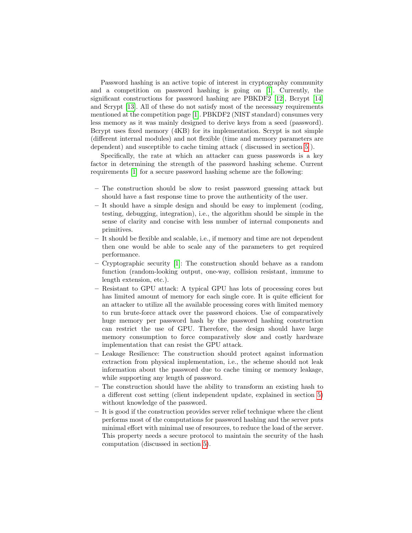Password hashing is an active topic of interest in cryptography community and a competition on password hashing is going on [\[1\]](#page-29-0). Currently, the significant constructions for password hashing are PBKDF2 [\[12\]](#page-29-1), Bcrypt [\[14\]](#page-29-2) and Scrypt [\[13\]](#page-29-3). All of these do not satisfy most of the necessary requirements mentioned at the competition page [\[1\]](#page-29-0). PBKDF2 (NIST standard) consumes very less memory as it was mainly designed to derive keys from a seed (password). Bcrypt uses fixed memory (4KB) for its implementation. Scrypt is not simple (different internal modules) and not flexible (time and memory parameters are dependent) and susceptible to cache timing attack ( discussed in section [5](#page-7-0) ).

Specifically, the rate at which an attacker can guess passwords is a key factor in determining the strength of the password hashing scheme. Current requirements [\[1\]](#page-29-0) for a secure password hashing scheme are the following:

- The construction should be slow to resist password guessing attack but should have a fast response time to prove the authenticity of the user.
- It should have a simple design and should be easy to implement (coding, testing, debugging, integration), i.e., the algorithm should be simple in the sense of clarity and concise with less number of internal components and primitives.
- It should be flexible and scalable, i.e., if memory and time are not dependent then one would be able to scale any of the parameters to get required performance.
- Cryptographic security [\[1\]](#page-29-0): The construction should behave as a random function (random-looking output, one-way, collision resistant, immune to length extension, etc.).
- Resistant to GPU attack: A typical GPU has lots of processing cores but has limited amount of memory for each single core. It is quite efficient for an attacker to utilize all the available processing cores with limited memory to run brute-force attack over the password choices. Use of comparatively huge memory per password hash by the password hashing construction can restrict the use of GPU. Therefore, the design should have large memory consumption to force comparatively slow and costly hardware implementation that can resist the GPU attack.
- Leakage Resilience: The construction should protect against information extraction from physical implementation, i.e., the scheme should not leak information about the password due to cache timing or memory leakage, while supporting any length of password.
- The construction should have the ability to transform an existing hash to a different cost setting (client independent update, explained in section [5\)](#page-7-0) without knowledge of the password.
- It is good if the construction provides server relief technique where the client performs most of the computations for password hashing and the server puts minimal effort with minimal use of resources, to reduce the load of the server. This property needs a secure protocol to maintain the security of the hash computation (discussed in section [5\)](#page-7-0).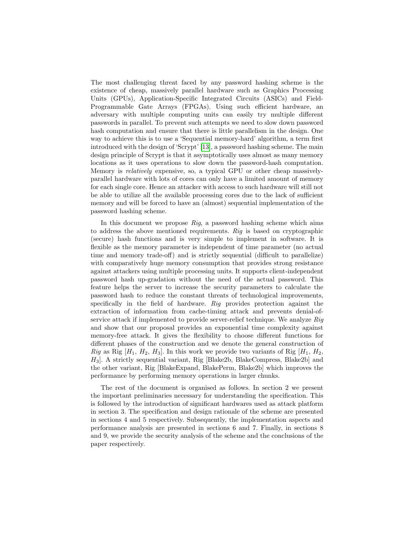The most challenging threat faced by any password hashing scheme is the existence of cheap, massively parallel hardware such as Graphics Processing Units (GPUs), Application-Specific Integrated Circuits (ASICs) and Field-Programmable Gate Arrays (FPGAs). Using such efficient hardware, an adversary with multiple computing units can easily try multiple different passwords in parallel. To prevent such attempts we need to slow down password hash computation and ensure that there is little parallelism in the design. One way to achieve this is to use a 'Sequential memory-hard' algorithm, a term first introduced with the design of 'Scrypt' [\[13\]](#page-29-3), a password hashing scheme. The main design principle of Scrypt is that it asymptotically uses almost as many memory locations as it uses operations to slow down the password-hash computation. Memory is relatively expensive, so, a typical GPU or other cheap massivelyparallel hardware with lots of cores can only have a limited amount of memory for each single core. Hence an attacker with access to such hardware will still not be able to utilize all the available processing cores due to the lack of sufficient memory and will be forced to have an (almost) sequential implementation of the password hashing scheme.

In this document we propose  $\mathbb{R}iq$ , a password hashing scheme which aims to address the above mentioned requirements. Rig is based on cryptographic (secure) hash functions and is very simple to implement in software. It is flexible as the memory parameter is independent of time parameter (no actual time and memory trade-off) and is strictly sequential (difficult to parallelize) with comparatively huge memory consumption that provides strong resistance against attackers using multiple processing units. It supports client-independent password hash up-gradation without the need of the actual password. This feature helps the server to increase the security parameters to calculate the password hash to reduce the constant threats of technological improvements, specifically in the field of hardware. Rig provides protection against the extraction of information from cache-timing attack and prevents denial-ofservice attack if implemented to provide server-relief technique. We analyze Rig and show that our proposal provides an exponential time complexity against memory-free attack. It gives the flexibility to choose different functions for different phases of the construction and we denote the general construction of Rig as Rig  $[H_1, H_2, H_3]$ . In this work we provide two variants of Rig  $[H_1, H_2, H_3]$ . H3]. A strictly sequential variant, Rig [Blake2b, BlakeCompress, Blake2b] and the other variant, Rig [BlakeExpand, BlakePerm, Blake2b] which improves the performance by performing memory operations in larger chunks.

The rest of the document is organised as follows. In section 2 we present the important preliminaries necessary for understanding the specification. This is followed by the introduction of significant hardwares used as attack platform in section 3. The specification and design rationale of the scheme are presented in sections 4 and 5 respectively. Subsequently, the implementation aspects and performance analysis are presented in sections 6 and 7. Finally, in sections 8 and 9, we provide the security analysis of the scheme and the conclusions of the paper respectively.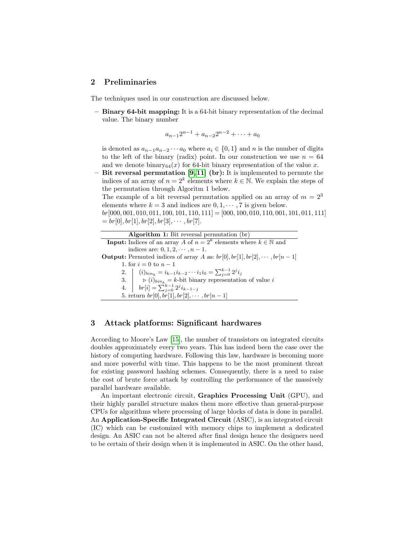# <span id="page-3-0"></span>2 Preliminaries

The techniques used in our construction are discussed below.

– Binary 64-bit mapping: It is a 64-bit binary representation of the decimal value. The binary number

$$
a_{n-1}2^{n-1} + a_{n-2}2^{n-2} + \dots + a_0
$$

is denoted as  $a_{n-1}a_{n-2}\cdots a_0$  where  $a_i \in \{0,1\}$  and n is the number of digits to the left of the binary (radix) point. In our construction we use  $n = 64$ and we denote binary<sub>64</sub> $(x)$  for 64-bit binary representation of the value x.

– Bit reversal permutation [\[9,](#page-29-4)11] (br): It is implemented to permute the indices of an array of  $n = 2^k$  elements where  $k \in \mathbb{N}$ . We explain the steps of the permutation through Algoritm 1 below.

The example of a bit reversal permutation applied on an array of  $m = 2<sup>3</sup>$ elements where  $k = 3$  and indices are  $0, 1, \dots, 7$  is given below.

 $br[000, 001, 001, 010, 011, 100, 101, 110, 111] = [000, 100, 010, 110, 001, 101, 011, 111]$  $= br[0], br[1], br[2], br[3], \cdots, br[7].$ 

| <b>Algorithm 1:</b> Bit reversal permutation (br)                                                                                                                                                                                                   |  |  |  |  |  |  |  |  |  |  |
|-----------------------------------------------------------------------------------------------------------------------------------------------------------------------------------------------------------------------------------------------------|--|--|--|--|--|--|--|--|--|--|
| <b>Input:</b> Indices of an array A of $n = 2^k$ elements where $k \in \mathbb{N}$ and                                                                                                                                                              |  |  |  |  |  |  |  |  |  |  |
| indices are: $0, 1, 2, \dots, n-1$ .                                                                                                                                                                                                                |  |  |  |  |  |  |  |  |  |  |
| <b>Output:</b> Permuted indices of array A as: $br[0], br[1], br[2], \cdots, br[n-1]$                                                                                                                                                               |  |  |  |  |  |  |  |  |  |  |
| 1. for $i = 0$ to $n - 1$                                                                                                                                                                                                                           |  |  |  |  |  |  |  |  |  |  |
|                                                                                                                                                                                                                                                     |  |  |  |  |  |  |  |  |  |  |
|                                                                                                                                                                                                                                                     |  |  |  |  |  |  |  |  |  |  |
| $\begin{tabular}{c c} 2. & $(i)_{bin_k} = i_{k-1}i_{k-2}\cdots i_1i_0 = \sum_{j=0}^{k-1}2^ji_j$ \\ 3. & $\triangleright$ (i)_{bin_k} = k\mbox{-bit binary representation of value $i$ \\ 4. & $br[i] = \sum_{j=0}^{k-1}2^ji_{k-1-j}$ \end{tabular}$ |  |  |  |  |  |  |  |  |  |  |
| 5. return $br[0], br[1], br[2], \cdots, br[n-1]$                                                                                                                                                                                                    |  |  |  |  |  |  |  |  |  |  |

# 3 Attack platforms: Significant hardwares

According to Moore's Law [\[15\]](#page-29-6), the number of transistors on integrated circuits doubles approximately every two years. This has indeed been the case over the history of computing hardware. Following this law, hardware is becoming more and more powerful with time. This happens to be the most prominent threat for existing password hashing schemes. Consequently, there is a need to raise the cost of brute force attack by controlling the performance of the massively parallel hardware available.

An important electronic circuit, Graphics Processing Unit (GPU), and their highly parallel structure makes them more effective than general-purpose CPUs for algorithms where processing of large blocks of data is done in parallel. An Application-Specific Integrated Circuit (ASIC), is an integrated circuit (IC) which can be customized with memory chips to implement a dedicated design. An ASIC can not be altered after final design hence the designers need to be certain of their design when it is implemented in ASIC. On the other hand,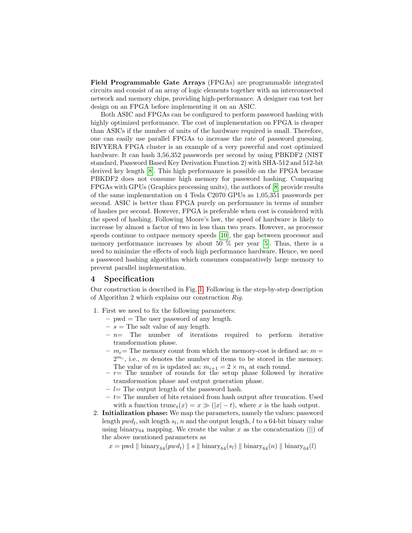Field Programmable Gate Arrays (FPGAs) are programmable integrated circuits and consist of an array of logic elements together with an interconnected network and memory chips, providing high-performance. A designer can test her design on an FPGA before implementing it on an ASIC.

Both ASIC and FPGAs can be configured to perform password hashing with highly optimized performance. The cost of implementation on FPGA is cheaper than ASICs if the number of units of the hardware required is small. Therefore, one can easily use parallel FPGAs to increase the rate of password guessing. RIVYERA FPGA cluster is an example of a very powerful and cost optimized hardware. It can hash 3,56,352 passwords per second by using PBKDF2 (NIST standard, Password Based Key Derivation Function 2) with SHA-512 and 512-bit derived key length [\[8\]](#page-29-7). This high performance is possible on the FPGA because PBKDF2 does not consume high memory for password hashing. Comparing FPGAs with GPUs (Graphics processing units), the authors of [\[8\]](#page-29-7) provide results of the same implementation on 4 Tesla C2070 GPUs as 1,05,351 passwords per second. ASIC is better than FPGA purely on performance in terms of number of hashes per second. However, FPGA is preferable when cost is considered with the speed of hashing. Following Moore's law, the speed of hardware is likely to increase by almost a factor of two in less than two years. However, as processor speeds continue to outpace memory speeds [\[10\]](#page-29-8), the gap between processor and memory performance increases by about 50  $\%$  per year [\[5\]](#page-29-9). Thus, there is a need to minimize the effects of such high performance hardware. Hence, we need a password hashing algorithm which consumes comparatively large memory to prevent parallel implementation.

# <span id="page-4-0"></span>4 Specification

Our construction is described in Fig. [1.](#page-5-0) Following is the step-by-step description of Algorithm 2 which explains our construction Rig.

- 1. First we need to fix the following parameters:
	- $-$  pwd  $=$  The user password of any length.
	- $-s$  = The salt value of any length.
	- $n =$  The number of iterations required to perform iterative transformation phase.
	- $m_c$  The memory count from which the memory-cost is defined as:  $m =$  $2^{m_c}$ , i.e., m denotes the number of items to be stored in the memory.
	- The value of m is updated as:  $m_{i+1} = 2 \times m_i$  at each round.<br>
	 $r=$  The number of rounds for the setup phase followed by iterative transformation phase and output generation phase.
	- $l =$  The output length of the password hash.
	- $-t=$  The number of bits retained from hash output after truncation. Used with a function  $\text{trunc}_t(x) = x \gg (|x| - t)$ , where x is the hash output.
- 2. Initialization phase: We map the parameters, namely the values: password length  $pwd_l$ , salt length  $s_l$ , n and the output length, l to a 64-bit binary value using binary<sub>64</sub> mapping. We create the value x as the concatenation (||) of the above mentioned parameters as

 $x = \text{pwd} \parallel \text{binary}_{64}(pwd_l) \parallel s \parallel \text{binary}_{64}(s_l) \parallel \text{binary}_{64}(n) \parallel \text{binary}_{64}(l)$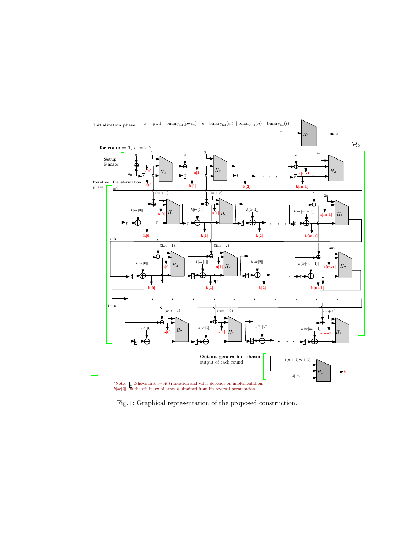<span id="page-5-0"></span>

Fig. 1: Graphical representation of the proposed construction.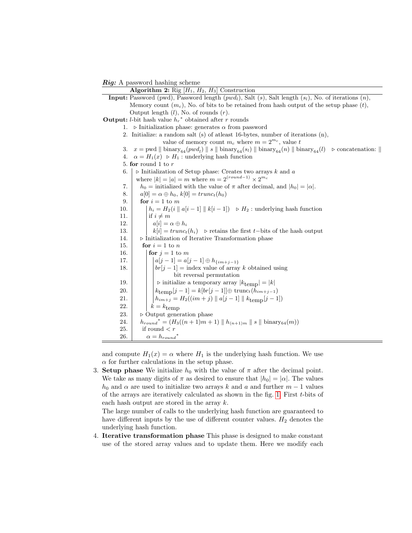Rig: A password hashing scheme

| <b>Algorithm 2:</b> Rig $[H_1, H_2, H_3]$ Construction                                                                                                                                                          |  |  |  |  |  |  |  |  |  |  |  |  |
|-----------------------------------------------------------------------------------------------------------------------------------------------------------------------------------------------------------------|--|--|--|--|--|--|--|--|--|--|--|--|
| <b>Input:</b> Password (pwd), Password length $(pwd_l)$ , Salt $(s)$ , Salt length $(s_l)$ , No. of iterations $(n)$ ,                                                                                          |  |  |  |  |  |  |  |  |  |  |  |  |
| Memory count $(m_c)$ , No. of bits to be retained from hash output of the setup phase $(t)$ ,                                                                                                                   |  |  |  |  |  |  |  |  |  |  |  |  |
| Output length $(l)$ , No. of rounds $(r)$ .                                                                                                                                                                     |  |  |  |  |  |  |  |  |  |  |  |  |
| <b>Output:</b> <i>l</i> -bit hash value $h_r^*$ obtained after r rounds                                                                                                                                         |  |  |  |  |  |  |  |  |  |  |  |  |
| 1. $\triangleright$ Initialization phase: generates $\alpha$ from password                                                                                                                                      |  |  |  |  |  |  |  |  |  |  |  |  |
| 2. Initialize: a random salt (s) of at last 16-bytes, number of iterations $(n)$ ,                                                                                                                              |  |  |  |  |  |  |  |  |  |  |  |  |
| value of memory count $m_c$ where $m = 2^{m_c}$ , value t                                                                                                                                                       |  |  |  |  |  |  |  |  |  |  |  |  |
| $x = \text{pwd} \parallel \text{binary}_{64}(pwd_l) \parallel s \parallel \text{binary}_{64}(s_l) \parallel \text{binary}_{64}(n) \parallel \text{binary}_{64}(l) \perp \text{concatenation: } \parallel$<br>3. |  |  |  |  |  |  |  |  |  |  |  |  |
| $\alpha = H_1(x) > H_1$ : underlying hash function<br>4.                                                                                                                                                        |  |  |  |  |  |  |  |  |  |  |  |  |
| 5. for round 1 to $r$                                                                                                                                                                                           |  |  |  |  |  |  |  |  |  |  |  |  |
| $\triangleright$ Initialization of Setup phase: Creates two arrays k and a<br>6.                                                                                                                                |  |  |  |  |  |  |  |  |  |  |  |  |
| where $ k  =  a  = m$ where $m = 2^{(round-1)} \times 2^{m_c}$                                                                                                                                                  |  |  |  |  |  |  |  |  |  |  |  |  |
| $h_0$ = initialized with the value of $\pi$ after decimal, and $ h_0  =  \alpha $ .<br>7.                                                                                                                       |  |  |  |  |  |  |  |  |  |  |  |  |
| 8.<br>$a[0] = \alpha \oplus h_0, k[0] = trunc_t(h_0)$                                                                                                                                                           |  |  |  |  |  |  |  |  |  |  |  |  |
| for $i=1$ to m<br>9.                                                                                                                                                                                            |  |  |  |  |  |  |  |  |  |  |  |  |
| $h_i = H_2(i    a[i-1]    k[i-1]) \Rightarrow H_2$ : underlying hash function<br>10.                                                                                                                            |  |  |  |  |  |  |  |  |  |  |  |  |
| if $i \neq m$<br>11.                                                                                                                                                                                            |  |  |  |  |  |  |  |  |  |  |  |  |
| $a[i] = \alpha \oplus h_i$<br>12.                                                                                                                                                                               |  |  |  |  |  |  |  |  |  |  |  |  |
| 13.<br>$k[i] = trunc_t(h_i)$ $\triangleright$ retains the first t-bits of the hash output                                                                                                                       |  |  |  |  |  |  |  |  |  |  |  |  |
| 14.<br>$\triangleright$ Initialization of Iterative Transformation phase                                                                                                                                        |  |  |  |  |  |  |  |  |  |  |  |  |
| 15.<br>for $i=1$ to n                                                                                                                                                                                           |  |  |  |  |  |  |  |  |  |  |  |  |
| 16.<br>for $j = 1$ to m                                                                                                                                                                                         |  |  |  |  |  |  |  |  |  |  |  |  |
| $a[j-1] = a[j-1] \oplus h_{\{im+j-1\}}$<br>17.                                                                                                                                                                  |  |  |  |  |  |  |  |  |  |  |  |  |
| $br[j-1] = index value of array k obtained using$<br>18.                                                                                                                                                        |  |  |  |  |  |  |  |  |  |  |  |  |
| bit reversal permutation                                                                                                                                                                                        |  |  |  |  |  |  |  |  |  |  |  |  |
| $\triangleright$ initialize a temporary array $ k_{\text{temp}}  =  k $<br>19.                                                                                                                                  |  |  |  |  |  |  |  |  |  |  |  |  |
| $k_{\text{temp}}[j-1] = k[br[j-1]] \oplus \text{trunc}_{t}(h_{im+j-1})$<br>20.                                                                                                                                  |  |  |  |  |  |  |  |  |  |  |  |  |
| $h_{im+j} = H_2((im+j)    a[j-1]    k_{temp}[j-1])$<br>21.                                                                                                                                                      |  |  |  |  |  |  |  |  |  |  |  |  |
| 22.<br>$k = k_{\text{temp}}$                                                                                                                                                                                    |  |  |  |  |  |  |  |  |  |  |  |  |
| 23.<br>$\triangleright$ Output generation phase                                                                                                                                                                 |  |  |  |  |  |  |  |  |  |  |  |  |
| $h_{round}^* = (H_3((n+1)m+1)    h_{(n+1)m}    s    \text{binary}_{64}(m))$<br>24.                                                                                                                              |  |  |  |  |  |  |  |  |  |  |  |  |
| 25.<br>if round $\langle r \rangle$                                                                                                                                                                             |  |  |  |  |  |  |  |  |  |  |  |  |
| 26.<br>$\alpha = h_{round}^*$                                                                                                                                                                                   |  |  |  |  |  |  |  |  |  |  |  |  |

and compute  $H_1(x) = \alpha$  where  $H_1$  is the underlying hash function. We use  $\alpha$  for further calculations in the setup phase.

3. Setup phase We initialize  $h_0$  with the value of  $\pi$  after the decimal point. We take as many digits of  $\pi$  as desired to ensure that  $|h_0| = |\alpha|$ . The values  $h_0$  and  $\alpha$  are used to initialize two arrays k and a and further  $m-1$  values of the arrays are iteratively calculated as shown in the fig. [1.](#page-5-0) First  $t$ -bits of each hash output are stored in the array  $k$ .

The large number of calls to the underlying hash function are guaranteed to have different inputs by the use of different counter values.  $H_2$  denotes the underlying hash function.

4. Iterative transformation phase This phase is designed to make constant use of the stored array values and to update them. Here we modify each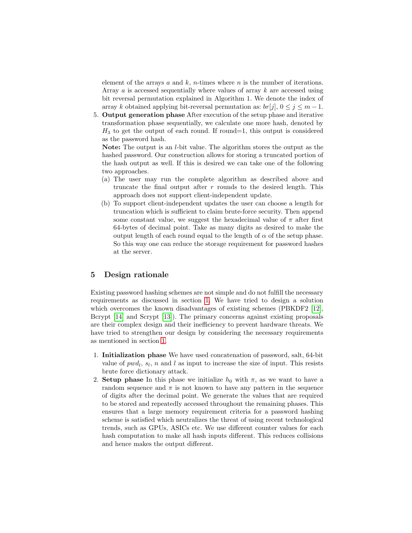element of the arrays  $a$  and  $k$ , *n*-times where  $n$  is the number of iterations. Array a is accessed sequentially where values of array k are accessed using bit reversal permutation explained in Algorithm 1. We denote the index of array k obtained applying bit-reversal permutation as:  $br[j], 0 \le j \le m-1$ .

5. Output generation phase After execution of the setup phase and iterative transformation phase sequentially, we calculate one more hash, denoted by  $H_3$  to get the output of each round. If round=1, this output is considered as the password hash.

Note: The output is an l-bit value. The algorithm stores the output as the hashed password. Our construction allows for storing a truncated portion of the hash output as well. If this is desired we can take one of the following two approaches.

- (a) The user may run the complete algorithm as described above and truncate the final output after  $r$  rounds to the desired length. This approach does not support client-independent update.
- (b) To support client-independent updates the user can choose a length for truncation which is sufficient to claim brute-force security. Then append some constant value, we suggest the hexadecimal value of  $\pi$  after first 64-bytes of decimal point. Take as many digits as desired to make the output length of each round equal to the length of  $\alpha$  of the setup phase. So this way one can reduce the storage requirement for password hashes at the server.

# <span id="page-7-0"></span>5 Design rationale

Existing password hashing schemes are not simple and do not fulfill the necessary requirements as discussed in section [1.](#page-0-0) We have tried to design a solution which overcomes the known disadvantages of existing schemes (PBKDF2 [\[12\]](#page-29-1), Bcrypt [\[14\]](#page-29-2) and Scrypt [\[13\]](#page-29-3)). The primary concerns against existing proposals are their complex design and their inefficiency to prevent hardware threats. We have tried to strengthen our design by considering the necessary requirements as mentioned in section [1.](#page-0-0)

- 1. Initialization phase We have used concatenation of password, salt, 64-bit value of  $pwd_l$ ,  $s_l$ , n and l as input to increase the size of input. This resists brute force dictionary attack.
- 2. Setup phase In this phase we initialize  $h_0$  with  $\pi$ , as we want to have a random sequence and  $\pi$  is not known to have any pattern in the sequence of digits after the decimal point. We generate the values that are required to be stored and repeatedly accessed throughout the remaining phases. This ensures that a large memory requirement criteria for a password hashing scheme is satisfied which neutralizes the threat of using recent technological trends, such as GPUs, ASICs etc. We use different counter values for each hash computation to make all hash inputs different. This reduces collisions and hence makes the output different.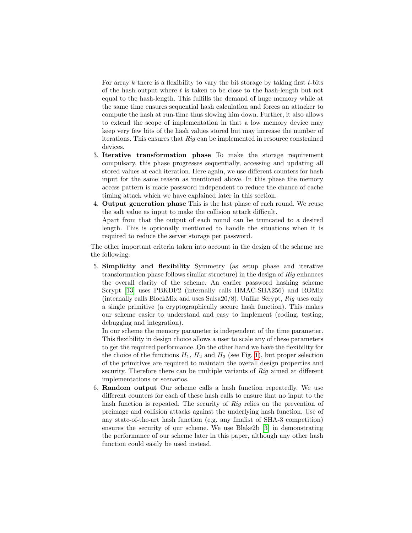For array  $k$  there is a flexibility to vary the bit storage by taking first  $t$ -bits of the hash output where  $t$  is taken to be close to the hash-length but not equal to the hash-length. This fulfills the demand of huge memory while at the same time ensures sequential hash calculation and forces an attacker to compute the hash at run-time thus slowing him down. Further, it also allows to extend the scope of implementation in that a low memory device may keep very few bits of the hash values stored but may increase the number of iterations. This ensures that Rig can be implemented in resource constrained devices.

- 3. Iterative transformation phase To make the storage requirement compulsary, this phase progresses sequentially, accessing and updating all stored values at each iteration. Here again, we use different counters for hash input for the same reason as mentioned above. In this phase the memory access pattern is made password independent to reduce the chance of cache timing attack which we have explained later in this section.
- 4. Output generation phase This is the last phase of each round. We reuse the salt value as input to make the collision attack difficult. Apart from that the output of each round can be truncated to a desired length. This is optionally mentioned to handle the situations when it is required to reduce the server storage per password.

The other important criteria taken into account in the design of the scheme are the following:

5. Simplicity and flexibility Symmetry (as setup phase and iterative transformation phase follows similar structure) in the design of Rig enhances the overall clarity of the scheme. An earlier password hashing scheme Scrypt [\[13\]](#page-29-3) uses PBKDF2 (internally calls HMAC-SHA256) and ROMix (internally calls BlockMix and uses Salsa20/8). Unlike Scrypt, Rig uses only a single primitive (a cryptographically secure hash function). This makes our scheme easier to understand and easy to implement (coding, testing, debugging and integration).

In our scheme the memory parameter is independent of the time parameter. This flexibility in design choice allows a user to scale any of these parameters to get the required performance. On the other hand we have the flexibility for the choice of the functions  $H_1$ ,  $H_2$  and  $H_3$  (see Fig. [1\)](#page-5-0), but proper selection of the primitives are required to maintain the overall design properties and security. Therefore there can be multiple variants of Rig aimed at different implementations or scenarios.

6. Random output Our scheme calls a hash function repeatedly. We use different counters for each of these hash calls to ensure that no input to the hash function is repeated. The security of Rig relies on the prevention of preimage and collision attacks against the underlying hash function. Use of any state-of-the-art hash function (e.g. any finalist of SHA-3 competition) ensures the security of our scheme. We use Blake2b [\[3\]](#page-29-10) in demonstrating the performance of our scheme later in this paper, although any other hash function could easily be used instead.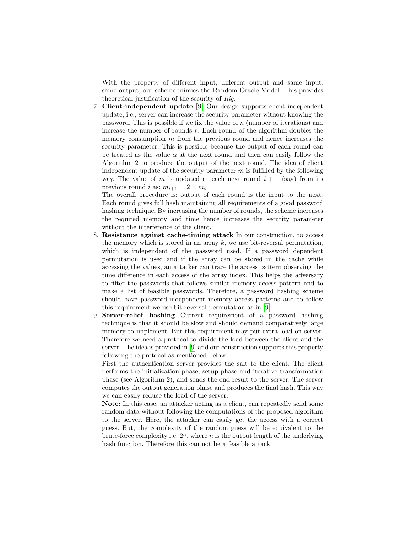With the property of different input, different output and same input, same output, our scheme mimics the Random Oracle Model. This provides theoretical justification of the security of Rig.

7. Client-independent update [\[9\]](#page-29-4) Our design supports client independent update, i.e., server can increase the security parameter without knowing the password. This is possible if we fix the value of  $n$  (number of iterations) and increase the number of rounds  $r$ . Each round of the algorithm doubles the memory consumption  $m$  from the previous round and hence increases the security parameter. This is possible because the output of each round can be treated as the value  $\alpha$  at the next round and then can easily follow the Algorithm 2 to produce the output of the next round. The idea of client independent update of the security parameter  $m$  is fulfilled by the following way. The value of m is updated at each next round  $i + 1$  (say) from its previous round *i* as:  $m_{i+1} = 2 \times m_i$ .

The overall procedure is: output of each round is the input to the next. Each round gives full hash maintaining all requirements of a good password hashing technique. By increasing the number of rounds, the scheme increases the required memory and time hence increases the security parameter without the interference of the client.

- 8. Resistance against cache-timing attack In our construction, to access the memory which is stored in an array  $k$ , we use bit-reversal permutation, which is independent of the password used. If a password dependent permutation is used and if the array can be stored in the cache while accessing the values, an attacker can trace the access pattern observing the time difference in each access of the array index. This helps the adversary to filter the passwords that follows similar memory access pattern and to make a list of feasible passwords. Therefore, a password hashing scheme should have password-independent memory access patterns and to follow this requirement we use bit reversal permutation as in [\[9\]](#page-29-4).
- 9. Server-relief hashing Current requirement of a password hashing technique is that it should be slow and should demand comparatively large memory to implement. But this requirement may put extra load on server. Therefore we need a protocol to divide the load between the client and the server. The idea is provided in [\[9\]](#page-29-4) and our construction supports this property following the protocol as mentioned below:

First the authentication server provides the salt to the client. The client performs the initialization phase, setup phase and iterative transformation phase (see Algorithm 2), and sends the end result to the server. The server computes the output generation phase and produces the final hash. This way we can easily reduce the load of the server.

Note: In this case, an attacker acting as a client, can repeatedly send some random data without following the computations of the proposed algorithm to the server. Here, the attacker can easily get the access with a correct guess. But, the complexity of the random guess will be equivalent to the brute-force complexity i.e.  $2^n$ , where *n* is the output length of the underlying hash function. Therefore this can not be a feasible attack.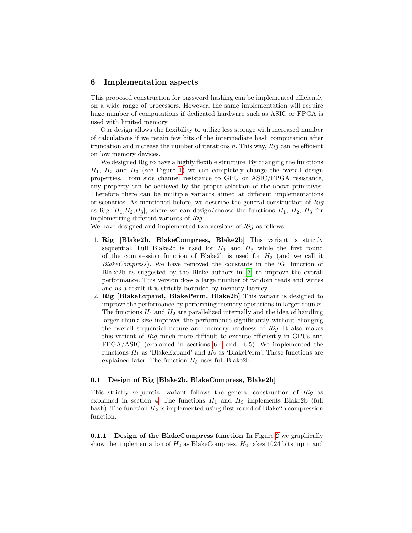### 6 Implementation aspects

This proposed construction for password hashing can be implemented efficiently on a wide range of processors. However, the same implementation will require huge number of computations if dedicated hardware such as ASIC or FPGA is used with limited memory.

Our design allows the flexibility to utilize less storage with increased number of calculations if we retain few bits of the intermediate hash computation after truncation and increase the number of iterations  $n$ . This way,  $\mathbb{R}$  are efficient on low memory devices.

We designed Rig to have a highly flexible structure. By changing the functions  $H_1$ ,  $H_2$  and  $H_3$  (see Figure [1\)](#page-5-0) we can completely change the overall design properties. From side channel resistance to GPU or ASIC/FPGA resistance, any property can be achieved by the proper selection of the above primitives. Therefore there can be multiple variants aimed at different implementations or scenarios. As mentioned before, we describe the general construction of Rig as Rig  $[H_1, H_2, H_3]$ , where we can design/choose the functions  $H_1$ ,  $H_2$ ,  $H_3$  for implementing different variants of Rig.

We have designed and implemented two versions of Rig as follows:

- 1. Rig [Blake2b, BlakeCompress, Blake2b] This variant is strictly sequential. Full Blake2b is used for  $H_1$  and  $H_3$  while the first round of the compression function of Blake2b is used for  $H_2$  (and we call it  $BlackeCompress$ ). We have removed the constants in the 'G' function of Blake2b as suggested by the Blake authors in [\[3\]](#page-29-10) to improve the overall performance. This version does a large number of random reads and writes and as a result it is strictly bounded by memory latency.
- 2. Rig [BlakeExpand, BlakePerm, Blake2b] This variant is designed to improve the performance by performing memory operations in larger chunks. The functions  $H_1$  and  $H_2$  are parallelized internally and the idea of handling larger chunk size improves the performance significantly without changing the overall sequential nature and memory-hardness of Rig. It also makes this variant of Rig much more difficult to execute efficiently in GPUs and FPGA/ASIC (explained in sections [6.4](#page-15-0) and [6.5\)](#page-16-0). We implemented the functions  $H_1$  as 'BlakeExpand' and  $H_2$  as 'BlakePerm'. These functions are explained later. The function  $H_3$  uses full Blake2b.

#### 6.1 Design of Rig [Blake2b, BlakeCompress, Blake2b]

This strictly sequential variant follows the general construction of Rig as explained in section [4.](#page-4-0) The functions  $H_1$  and  $H_3$  implements Blake2b (full hash). The function  $H_2$  is implemented using first round of Blake2b compression function.

6.1.1 Design of the BlakeCompress function In Figure [2](#page-11-0) we graphically show the implementation of  $H_2$  as BlakeCompress.  $H_2$  takes 1024 bits input and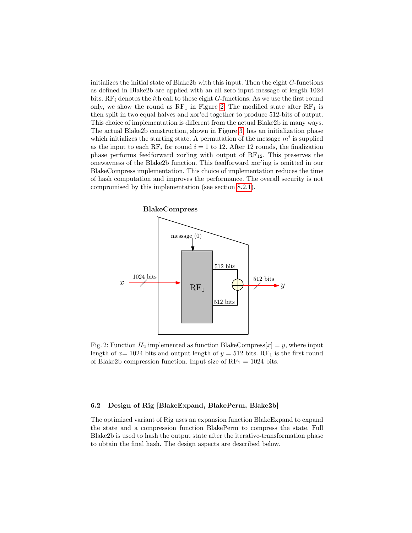initializes the initial state of Blake2b with this input. Then the eight G-functions as defined in Blake2b are applied with an all zero input message of length 1024 bits.  $RF_i$  denotes the *i*th call to these eight G-functions. As we use the first round only, we show the round as  $RF_1$  in Figure [2.](#page-11-0) The modified state after  $RF_1$  is then split in two equal halves and xor'ed together to produce 512-bits of output. This choice of implementation is different from the actual Blake2b in many ways. The actual Blake2b construction, shown in Figure [3,](#page-12-0) has an initialization phase which initializes the starting state. A permutation of the message  $m^i$  is supplied as the input to each RF<sub>i</sub> for round  $i = 1$  to 12. After 12 rounds, the finalization phase performs feedforward xor'ing with output of  $RF_{12}$ . This preserves the onewayness of the Blake2b function. This feedforward xor'ing is omitted in our BlakeCompress implementation. This choice of implementation reduces the time of hash computation and improves the performance. The overall security is not compromised by this implementation (see section [8.2.1\)](#page-24-0).

<span id="page-11-0"></span>

Fig. 2: Function  $H_2$  implemented as function BlakeCompress[x] = y, where input length of  $x=1024$  bits and output length of  $y=512$  bits. RF<sub>1</sub> is the first round of Blake2b compression function. Input size of  $RF_1 = 1024$  bits.

#### <span id="page-11-1"></span>6.2 Design of Rig [BlakeExpand, BlakePerm, Blake2b]

The optimized variant of Rig uses an expansion function BlakeExpand to expand the state and a compression function BlakePerm to compress the state. Full Blake2b is used to hash the output state after the iterative-transformation phase to obtain the final hash. The design aspects are described below.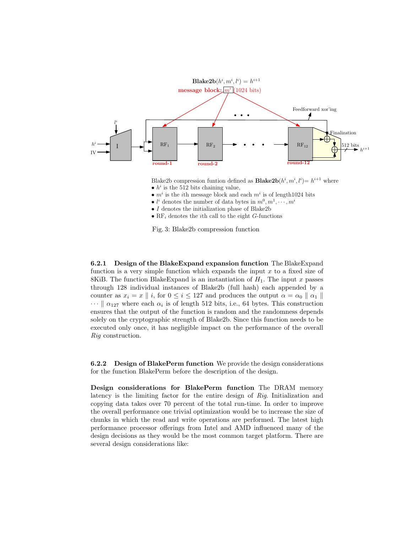<span id="page-12-0"></span>

Blake2b compression funtion defined as **Blake2b** $(h^i, m^i, l^i) = h^{i+1}$  where •  $h^i$  is the 512 bits chaining value,

- $m^i$  is the *i*th message block and each  $m^i$  is of length1024 bits
- $l^i$  denotes the number of data bytes in  $m^0, m^1, \dots, m^i$
- I denotes the initialization phase of Blake2b
- $RF_i$  denotes the *i*th call to the eight *G*-functions



6.2.1 Design of the BlakeExpand expansion function The BlakeExpand function is a very simple function which expands the input  $x$  to a fixed size of 8KiB. The function BlakeExpand is an instantiation of  $H_1$ . The input x passes through 128 individual instances of Blake2b (full hash) each appended by a counter as  $x_i = x \parallel i$ , for  $0 \leq i \leq 127$  and produces the output  $\alpha = \alpha_0 \parallel \alpha_1 \parallel$  $\cdots \parallel \alpha_{127}$  where each  $\alpha_i$  is of length 512 bits, i.e., 64 bytes. This construction ensures that the output of the function is random and the randomness depends solely on the cryptographic strength of Blake2b. Since this function needs to be executed only once, it has negligible impact on the performance of the overall Rig construction.

6.2.2 Design of BlakePerm function We provide the design considerations for the function BlakePerm before the description of the design.

Design considerations for BlakePerm function The DRAM memory latency is the limiting factor for the entire design of Rig. Initialization and copying data takes over 70 percent of the total run-time. In order to improve the overall performance one trivial optimization would be to increase the size of chunks in which the read and write operations are performed. The latest high performance processor offerings from Intel and AMD influenced many of the design decisions as they would be the most common target platform. There are several design considerations like: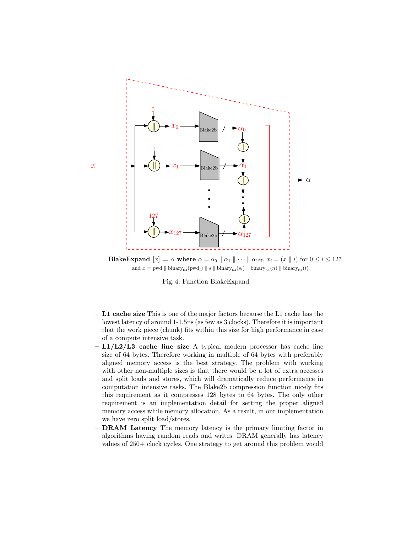

BlakeExpand  $[x] = \alpha$  where  $\alpha = \alpha_0 \parallel \alpha_1 \parallel \cdots \parallel \alpha_{127}, x_i = (x \parallel i)$  for  $0 \le i \le 127$ and  $x = \text{pwd} \parallel \text{binary}_{64}(\text{pwd}_l) \parallel s \parallel \text{binary}_{64}(s_l) \parallel \text{binary}_{64}(n) \parallel \text{binary}_{64}(l)$ 

Fig. 4: Function BlakeExpand

- L1 cache size This is one of the major factors because the L1 cache has the lowest latency of around 1-1.5ns (as few as 3 clocks). Therefore it is important that the work piece (chunk) fits within this size for high performance in case of a compute intensive task.
- $L1/L2/L3$  cache line size A typical modern processor has cache line size of 64 bytes. Therefore working in multiple of 64 bytes with preferably aligned memory access is the best strategy. The problem with working with other non-multiple sizes is that there would be a lot of extra accesses and split loads and stores, which will dramatically reduce performance in computation intensive tasks. The Blake2b compression function nicely fits this requirement as it compresses 128 bytes to 64 bytes. The only other requirement is an implementation detail for setting the proper aligned memory access while memory allocation. As a result, in our implementation we have zero split load/stores.
- DRAM Latency The memory latency is the primary limiting factor in algorithms having random reads and writes. DRAM generally has latency values of 250+ clock cycles. One strategy to get around this problem would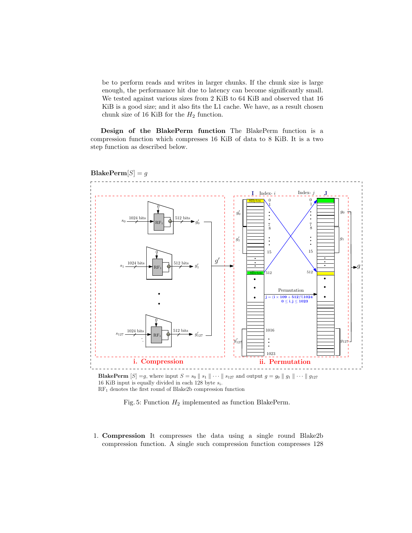be to perform reads and writes in larger chunks. If the chunk size is large enough, the performance hit due to latency can become significantly small. i We tested against various sizes from 2 KiB to 64 KiB and observed that 16 KiB is a good size; and it also fits the L1 cache. We have, as a result chosen chunk size of 16 KiB for the  $H_2$  function.

Design of the BlakePerm function The BlakePerm function is a compression function which compresses 16 KiB of data to 8 KiB. It is a two step function as described below.

<span id="page-14-0"></span>

16 KiB input is equally divided in each 128 byte  $s_i$ .  $\mathbf{RF}_{1}$  denotes the first round of Blake2b compression function

Fig. 5: Function  $H_2$  implemented as function BlakePerm.

1. Compression It compresses the data using a single round Blake2b compression function. A single such compression function compresses 128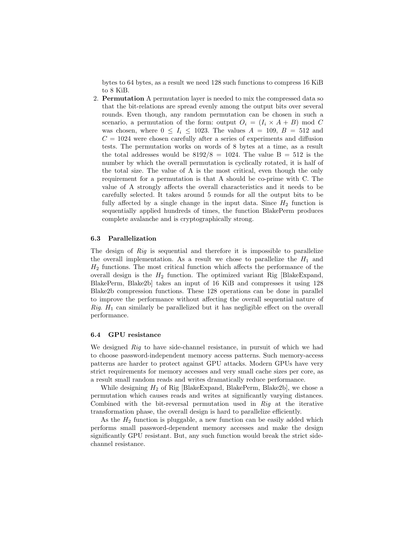bytes to 64 bytes, as a result we need 128 such functions to compress 16 KiB to 8 KiB.

2. Permutation A permutation layer is needed to mix the compressed data so that the bit-relations are spread evenly among the output bits over several rounds. Even though, any random permutation can be chosen in such a scenario, a permutation of the form: output  $O_i = (I_i \times A + B) \text{ mod } C$ was chosen, where  $0 \le I_i \le 1023$ . The values  $A = 109$ ,  $B = 512$  and  $C = 1024$  were chosen carefully after a series of experiments and diffusion tests. The permutation works on words of 8 bytes at a time, as a result the total addresses would be  $8192/8 = 1024$ . The value B = 512 is the number by which the overall permutation is cyclically rotated, it is half of the total size. The value of A is the most critical, even though the only requirement for a permutation is that A should be co-prime with C. The value of A strongly affects the overall characteristics and it needs to be carefully selected. It takes around 5 rounds for all the output bits to be fully affected by a single change in the input data. Since  $H_2$  function is sequentially applied hundreds of times, the function BlakePerm produces complete avalanche and is cryptographically strong.

#### 6.3 Parallelization

The design of Rig is sequential and therefore it is impossible to parallelize the overall implementation. As a result we chose to parallelize the  $H_1$  and  $H_2$  functions. The most critical function which affects the performance of the overall design is the  $H_2$  function. The optimized variant Rig [BlakeExpand, BlakePerm, Blake2b] takes an input of 16 KiB and compresses it using 128 Blake2b compression functions. These 128 operations can be done in parallel to improve the performance without affecting the overall sequential nature of  $Rig. H<sub>1</sub>$  can similarly be parallelized but it has negligible effect on the overall performance.

#### <span id="page-15-0"></span>6.4 GPU resistance

We designed Rig to have side-channel resistance, in pursuit of which we had to choose password-independent memory access patterns. Such memory-access patterns are harder to protect against GPU attacks. Modern GPUs have very strict requirements for memory accesses and very small cache sizes per core, as a result small random reads and writes dramatically reduce performance.

While designing  $H_2$  of Rig [BlakeExpand, BlakePerm, Blake2b], we chose a permutation which causes reads and writes at significantly varying distances. Combined with the bit-reversal permutation used in Rig at the iterative transformation phase, the overall design is hard to parallelize efficiently.

As the  $H_2$  function is pluggable, a new function can be easily added which performs small password-dependent memory accesses and make the design significantly GPU resistant. But, any such function would break the strict sidechannel resistance.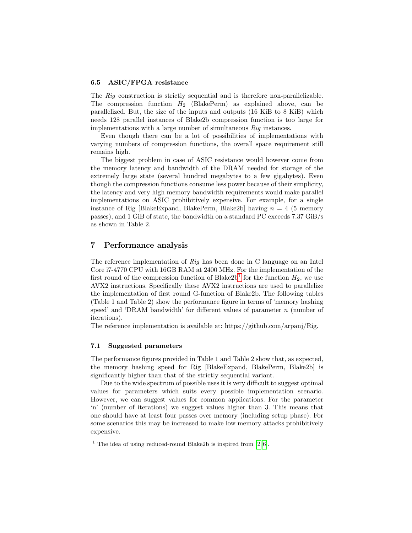#### <span id="page-16-0"></span>6.5 ASIC/FPGA resistance

The Rig construction is strictly sequential and is therefore non-parallelizable. The compression function  $H_2$  (BlakePerm) as explained above, can be parallelized. But, the size of the inputs and outputs (16 KiB to 8 KiB) which needs 128 parallel instances of Blake2b compression function is too large for implementations with a large number of simultaneous Rig instances.

Even though there can be a lot of possibilities of implementations with varying numbers of compression functions, the overall space requirement still remains high.

The biggest problem in case of ASIC resistance would however come from the memory latency and bandwidth of the DRAM needed for storage of the extremely large state (several hundred megabytes to a few gigabytes). Even though the compression functions consume less power because of their simplicity, the latency and very high memory bandwidth requirements would make parallel implementations on ASIC prohibitively expensive. For example, for a single instance of Rig [BlakeExpand, BlakePerm, Blake2b] having  $n = 4$  (5 memory passes), and 1 GiB of state, the bandwidth on a standard PC exceeds 7.37 GiB/s as shown in Table 2.

# 7 Performance analysis

The reference implementation of Rig has been done in C language on an Intel Core i7-4770 CPU with 16GB RAM at 2400 MHz. For the implementation of the first round of the compression function of Blake2b<sup>[1](#page-16-1)</sup> for the function  $H_2$ , we use AVX2 instructions. Specifically these AVX2 instructions are used to parallelize the implementation of first round G-function of Blake2b. The following tables (Table 1 and Table 2) show the performance figure in terms of 'memory hashing speed' and 'DRAM bandwidth' for different values of parameter  $n$  (number of iterations).

The reference implementation is available at: https://github.com/arpanj/Rig.

#### 7.1 Suggested parameters

The performance figures provided in Table 1 and Table 2 show that, as expected, the memory hashing speed for Rig [BlakeExpand, BlakePerm, Blake2b] is significantly higher than that of the strictly sequential variant.

Due to the wide spectrum of possible uses it is very difficult to suggest optimal values for parameters which suits every possible implementation scenario. However, we can suggest values for common applications. For the parameter 'n' (number of iterations) we suggest values higher than 3. This means that one should have at least four passes over memory (including setup phase). For some scenarios this may be increased to make low memory attacks prohibitively expensive.

<span id="page-16-1"></span><sup>&</sup>lt;sup>1</sup> The idea of using reduced-round Blake2b is inspired from [\[2,](#page-29-11) [6\]](#page-29-12).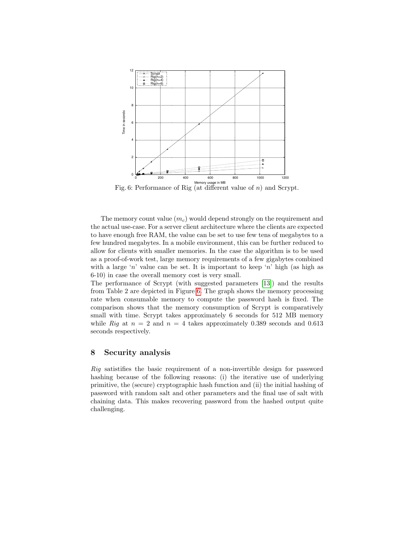<span id="page-17-0"></span>

Fig. 6: Performance of Rig (at different value of  $n$ ) and Scrypt.

The memory count value  $(m_c)$  would depend strongly on the requirement and the actual use-case. For a server client architecture where the clients are expected to have enough free RAM, the value can be set to use few tens of megabytes to a few hundred megabytes. In a mobile environment, this can be further reduced to allow for clients with smaller memories. In the case the algorithm is to be used as a proof-of-work test, large memory requirements of a few gigabytes combined with a large 'n' value can be set. It is important to keep 'n' high (as high as 6-10) in case the overall memory cost is very small.

The performance of Scrypt (with suggested parameters [\[13\]](#page-29-3)) and the results from Table 2 are depicted in Figure [6.](#page-17-0) The graph shows the memory processing rate when consumable memory to compute the password hash is fixed. The comparison shows that the memory consumption of Scrypt is comparatively small with time. Scrypt takes approximately 6 seconds for 512 MB memory while Rig at  $n = 2$  and  $n = 4$  takes approximately 0.389 seconds and 0.613 seconds respectively.

# 8 Security analysis

Rig satistifies the basic requirement of a non-invertible design for password hashing because of the following reasons: (i) the iterative use of underlying primitive, the (secure) cryptographic hash function and (ii) the initial hashing of password with random salt and other parameters and the final use of salt with chaining data. This makes recovering password from the hashed output quite challenging.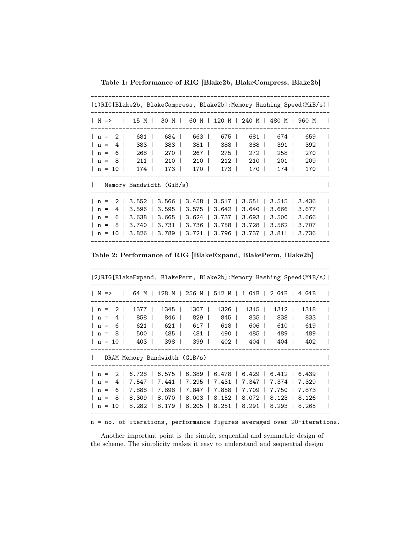Table 1: Performance of RIG [Blake2b, BlakeCompress, Blake2b]

| 1)RIG[Blake2b, BlakeCompress, Blake2b]:Memory Hashing Speed(MiB/s) |                                        |                                             |  |                                               |  |                                               |         |                                               |  |                                                  |  |                                                     |  |                                           |                                           |  |
|--------------------------------------------------------------------|----------------------------------------|---------------------------------------------|--|-----------------------------------------------|--|-----------------------------------------------|---------|-----------------------------------------------|--|--------------------------------------------------|--|-----------------------------------------------------|--|-------------------------------------------|-------------------------------------------|--|
| $ M \Rightarrow$                                                   |                                        |                                             |  | 15 M I                                        |  | 30 M I                                        |         | 60 M                                          |  |                                                  |  |                                                     |  | 120 M   240 M   480 M                     | 960 M                                     |  |
| $\ln =$<br>$n =$<br>$n =$<br>$n =$                                 |                                        | 2 <sub>1</sub><br>4<br>6<br>8<br>$\ln = 10$ |  | 681<br>383<br>268<br>211<br>174               |  | 684 I<br>383<br>270<br>210<br>173             |         | 663 I<br>381<br>267<br>210<br>170             |  | 675<br>388<br>275<br>212<br>173                  |  | 681<br>388<br>272<br>210<br>170                     |  | 674 I<br>391<br>258<br>201<br>174         | 659<br>392<br>270<br>209<br>170           |  |
| Memory Bandwidth (GiB/s)                                           |                                        |                                             |  |                                               |  |                                               |         |                                               |  |                                                  |  |                                                     |  |                                           |                                           |  |
| $\ln =$<br>n<br>n<br>n<br>n                                        | $=$<br>$=$<br>$=$<br>$\qquad \qquad =$ | 2 <sup>1</sup><br>4<br>6<br>8<br>10         |  | $3.552$ 1<br>3.596<br>3.638<br>3.740<br>3.826 |  | $3.566$  <br>3.595<br>3.665<br>3.731<br>3.789 | $\perp$ | $3.458$  <br>3.575<br>3.624<br>3.736<br>3.721 |  | $3.517 \mid$<br>3.642<br>3.737<br>3.758<br>3.796 |  | $3.551$ $\perp$<br>3.640<br>3.693<br>3.728<br>3.737 |  | 3.515<br>3.666<br>3.500<br>3.562<br>3.811 | 3.436<br>3.677<br>3.666<br>3.707<br>3.736 |  |

Table 2: Performance of RIG [BlakeExpand, BlakePerm, Blake2b]

-------------------------------------------------------------------- |2)RIG[BlakeExpand, BlakePerm, Blake2b]:Memory Hashing Speed(MiB/s)| -------------------------------------------------------------------- | M => | 64 M | 128 M | 256 M | 512 M | 1 GiB | 2 GiB | 4 GiB | -------------------------------------------------------------------- | n = 2 | 1377 | 1345 | 1307 | 1326 | 1315 | 1312 | 1318 | | n = 4 | 858 | 846 | 829 | 845 | 835 | 838 | 833 | | n = 6 | 621 | 621 | 617 | 618 | 606 | 610 | 619 | | n = 8 | 500 | 485 | 481 | 490 | 485 | 489 | 489 | | n = 10 | 403 | 398 | 399 | 402 | 404 | 404 | 402 | -------------------------------------------------------------------- | DRAM Memory Bandwidth (GiB/s) | -------------------------------------------------------------------- | n = 2 | 6.728 | 6.575 | 6.389 | 6.478 | 6.429 | 6.412 | 6.439 | | n = 4 | 7.547 | 7.441 | 7.295 | 7.431 | 7.347 | 7.374 | 7.329 | | n = 6 | 7.888 | 7.898 | 7.847 | 7.858 | 7.709 | 7.750 | 7.873 | | n = 8 | 8.309 | 8.070 | 8.003 | 8.152 | 8.072 | 8.123 | 8.126 | | n = 10 | 8.282 | 8.179 | 8.205 | 8.251 | 8.291 | 8.293 | 8.265 | ------------------------------------------------------------------- n = no. of iterations, performance figures averaged over 20-iterations.

Another important point is the simple, sequential and symmetric design of the scheme. The simplicity makes it easy to understand and sequential design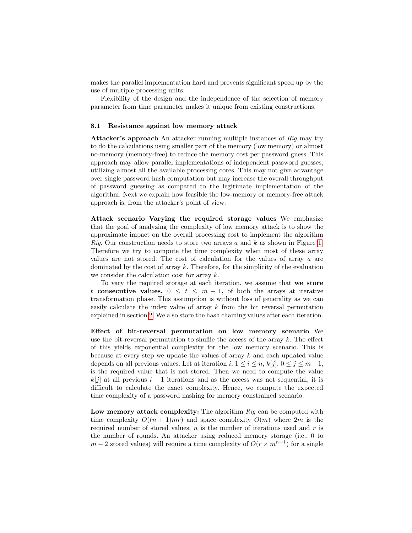makes the parallel implementation hard and prevents significant speed up by the use of multiple processing units.

Flexibility of the design and the independence of the selection of memory parameter from time parameter makes it unique from existing constructions.

#### 8.1 Resistance against low memory attack

Attacker's approach An attacker running multiple instances of Rig may try to do the calculations using smaller part of the memory (low memory) or almost no-memory (memory-free) to reduce the memory cost per password guess. This approach may allow parallel implementations of independent password guesses, utilizing almost all the available processing cores. This may not give advantage over single password hash computation but may increase the overall throughput of password guessing as compared to the legitimate implementation of the algorithm. Next we explain how feasible the low-memory or memory-free attack approach is, from the attacker's point of view.

Attack scenario Varying the required storage values We emphasize that the goal of analyzing the complexity of low memory attack is to show the approximate impact on the overall processing cost to implement the algorithm Rig. Our construction needs to store two arrays a and k as shown in Figure [1.](#page-5-0) Therefore we try to compute the time complexity when most of these array values are not stored. The cost of calculation for the values of array a are dominated by the cost of array  $k$ . Therefore, for the simplicity of the evaluation we consider the calculation cost for array k.

To vary the required storage at each iteration, we assume that we store t consecutive values,  $0 \le t \le m-1$ , of both the arrays at iterative transformation phase. This assumption is without loss of generality as we can easily calculate the index value of array  $k$  from the bit reversal permutation explained in section [2.](#page-3-0) We also store the hash chaining values after each iteration.

Effect of bit-reversal permutation on low memory scenario We use the bit-reversal permutation to shuffle the access of the array  $k$ . The effect of this yields exponential complexity for the low memory scenario. This is because at every step we update the values of array  $k$  and each updated value depends on all previous values. Let at iteration i,  $1 \leq i \leq n$ ,  $k[j], 0 \leq j \leq m-1$ , is the required value that is not stored. Then we need to compute the value  $k[i]$  at all previous  $i-1$  iterations and as the access was not sequential, it is difficult to calculate the exact complexity. Hence, we compute the expected time complexity of a password hashing for memory constrained scenario.

Low memory attack complexity: The algorithm  $Rig$  can be computed with time complexity  $O((n + 1)mr)$  and space complexity  $O(m)$  where  $2m$  is the required number of stored values,  $n$  is the number of iterations used and  $r$  is the number of rounds. An attacker using reduced memory storage (i.e., 0 to  $m-2$  stored values) will require a time complexity of  $O(r \times m^{n+1})$  for a single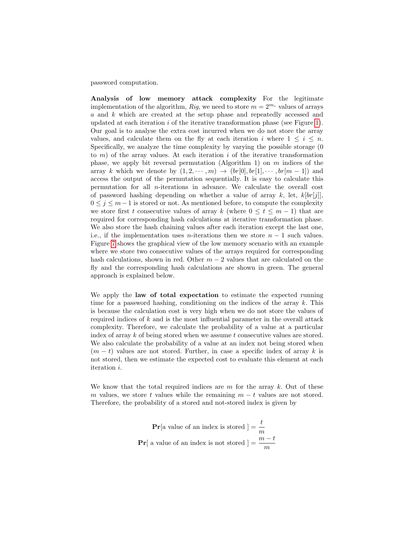password computation.

Analysis of low memory attack complexity For the legitimate implementation of the algorithm, Rig, we need to store  $m = 2^{m_c}$  values of arrays a and k which are created at the setup phase and repeatedly accessed and updated at each iteration  $i$  of the iterative transformation phase (see Figure [1\)](#page-5-0). Our goal is to analyse the extra cost incurred when we do not store the array values, and calculate them on the fly at each iteration i where  $1 \leq i \leq n$ . Specifically, we analyze the time complexity by varying the possible storage (0 to  $m$ ) of the array values. At each iteration  $i$  of the iterative transformation phase, we apply bit reversal permutation (Algorithm 1) on  $m$  indices of the array k which we denote by  $(1, 2, \dots, m) \rightarrow (br[0], br[1], \dots, br[m-1])$  and access the output of the permutation sequentially. It is easy to calculate this permutation for all n-iterations in advance. We calculate the overall cost of password hashing depending on whether a value of array k, let,  $k[br[i]]$ ,  $0 \leq j \leq m-1$  is stored or not. As mentioned before, to compute the complexity we store first t consecutive values of array k (where  $0 \leq t \leq m-1$ ) that are required for corresponding hash calculations at iterative transformation phase. We also store the hash chaining values after each iteration except the last one, i.e., if the implementation uses *n*-iterations then we store  $n - 1$  such values. Figure [7](#page-21-0) shows the graphical view of the low memory scenario with an example where we store two consecutive values of the arrays required for corresponding hash calculations, shown in red. Other  $m-2$  values that are calculated on the fly and the corresponding hash calculations are shown in green. The general approach is explained below.

We apply the law of total expectation to estimate the expected running time for a password hashing, conditioning on the indices of the array  $k$ . This is because the calculation cost is very high when we do not store the values of required indices of  $k$  and is the most influential parameter in the overall attack complexity. Therefore, we calculate the probability of a value at a particular index of array  $k$  of being stored when we assume  $t$  consecutive values are stored. We also calculate the probability of a value at an index not being stored when  $(m - t)$  values are not stored. Further, in case a specific index of array k is not stored, then we estimate the expected cost to evaluate this element at each iteration i.

We know that the total required indices are m for the array k. Out of these m values, we store t values while the remaining  $m - t$  values are not stored. Therefore, the probability of a stored and not-stored index is given by

$$
\mathbf{Pr}[\text{a value of an index is stored }] = \frac{t}{m}
$$

$$
\mathbf{Pr}[\text{ a value of an index is not stored }] = \frac{m-t}{m}
$$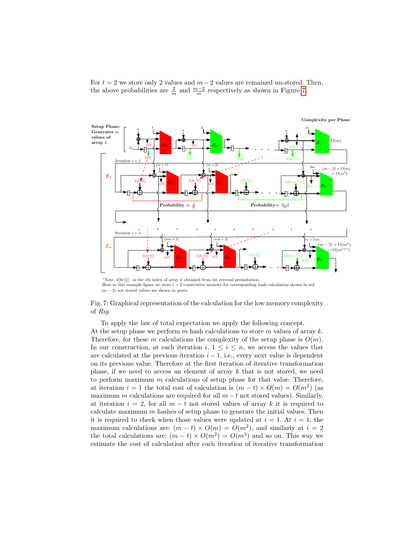For  $t = 2$  we store only 2 values and  $m-2$  values are remained un-stored. Then, the above probabilities are  $\frac{2}{m}$  and  $\frac{m-2}{m}$  respectively as shown in Figure [7.](#page-21-0)

<span id="page-21-0"></span>

<sup>∗</sup>Note: k[br[i]] : is the ith index of array k obtained from bit reversal permutation

Here in this example figure we store  $t = 2$  consecutive memory for corresponding hash calculation shown in red  $(m-2)$  not stored values are shown in green

Fig. 7: Graphical representation of the calculation for the low memory complexity of Rig.

To apply the law of total expectation we apply the following concept. At the setup phase we perform m hash calculations to store m values of array  $k$ . Therefore, for these m calculations the complexity of the setup phase is  $O(m)$ . In our construction, at each iteration  $i, 1 \leq i \leq n$ , we access the values that are calculated at the previous iteration  $i - 1$ , i.e., every next value is dependent on its previous value. Therefore at the first iteration of iterative transformation phase, if we need to access an element of array  $k$  that is not stored, we need to perform maximum  $m$  calculations of setup phase for that value. Therefore, at iteration  $i = 1$  the total cost of calculation is  $(m - t) \times O(m) = O(m^2)$  (as maximum m calculations are required for all  $m - t$  not stored values). Similarly, at iteration  $i = 2$ , for all  $m - t$  not stored values of array k it is required to calculate maximum  $m$  hashes of setup phase to generate the initial values. Then it is required to check when those values were updated at  $i = 1$ . At  $i = 1$ , the maximum calculations are:  $(m - t) \times O(m) = O(m^2)$ , and similarly at  $i = 2$ the total calculations are:  $(m - t) \times O(m^2) = O(m^3)$  and so on. This way we estimate the cost of calculation after each iteration of iterative transformation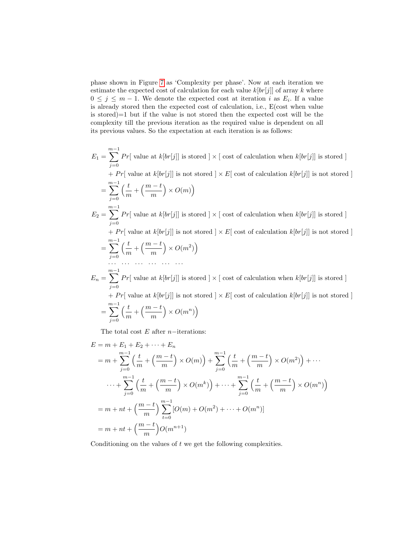phase shown in Figure [7](#page-21-0) as 'Complexity per phase'. Now at each iteration we estimate the expected cost of calculation for each value  $k[br[j]]$  of array k where  $0 \leq j \leq m-1$ . We denote the expected cost at iteration i as  $E_i$ . If a value is already stored then the expected cost of calculation, i.e., E(cost when value is stored)=1 but if the value is not stored then the expected cost will be the complexity till the previous iteration as the required value is dependent on all its previous values. So the expectation at each iteration is as follows:

$$
E_1 = \sum_{j=0}^{m-1} Pr[\text{ value at } k[br[j]] \text{ is stored }] \times [\text{ cost of calculation when } k[br[j]] \text{ is stored }]
$$
  
+  $Pr[\text{ value at } k[br[j]] \text{ is not stored }] \times E[\text{ cost of calculation } k[br[j]] \text{ is not stored }]$   
=  $\sum_{j=0}^{m-1} \left(\frac{t}{m} + \left(\frac{m-t}{m}\right) \times O(m)\right)$   

$$
E_2 = \sum_{j=0}^{m-1} Pr[\text{ value at } k[br[j]] \text{ is stored }] \times [\text{ cost of calculation when } k[br[j]] \text{ is stored }]
$$
  
+  $Pr[\text{ value at } k[br[j]] \text{ is not stored }] \times E[\text{ cost of calculation } k[br[j]] \text{ is not stored }]$   
=  $\sum_{j=0}^{m-1} \left(\frac{t}{m} + \left(\frac{m-t}{m}\right) \times O(m^2)\right)$   
...  
...  
...  
...  

$$
E_n = \sum_{j=0}^{m-1} Pr[\text{ value at } k[br[j]] \text{ is stored }] \times [\text{ cost of calculation when } k[br[j]] \text{ is stored }]
$$
  
+  $Pr[\text{ value at } k[br[j]] \text{ is not stored }] \times E[\text{ cost of calculation } k[br[j]] \text{ is not stored }]$   
=  $\sum_{j=0}^{m-1} \left(\frac{t}{m} + \left(\frac{m-t}{m}\right) \times O(m^n)\right)$   
The total cost *E* after *n*-iterations:

$$
E = m + E_1 + E_2 + \dots + E_n
$$
  
=  $m + \sum_{j=0}^{m-1} \left( \frac{t}{m} + \left( \frac{m-t}{m} \right) \times O(m) \right) + \sum_{j=0}^{m-1} \left( \frac{t}{m} + \left( \frac{m-t}{m} \right) \times O(m^2) \right) + \dots$   
 $\dots + \sum_{j=0}^{m-1} \left( \frac{t}{m} + \left( \frac{m-t}{m} \right) \times O(m^k) \right) + \dots + \sum_{j=0}^{m-1} \left( \frac{t}{m} + \left( \frac{m-t}{m} \right) \times O(m^n) \right)$   
=  $m + nt + \left( \frac{m-t}{m} \right) \sum_{t=0}^{m-1} [O(m) + O(m^2) + \dots + O(m^n)]$   
=  $m + nt + \left( \frac{m-t}{m} \right) O(m^{n+1})$ 

Conditioning on the values of  $t$  we get the following complexities.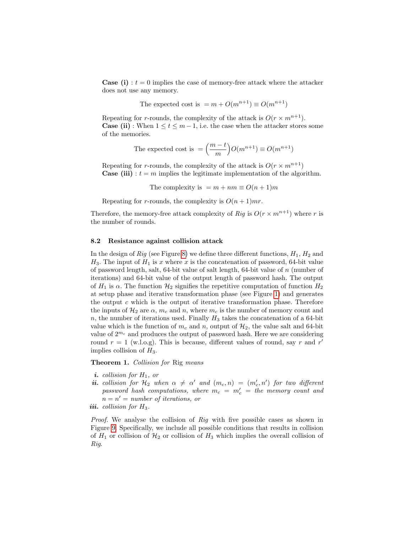**Case (i)**:  $t = 0$  implies the case of memory-free attack where the attacker does not use any memory.

The expected cost is  $=m+O(m^{n+1})\equiv O(m^{n+1})$ 

Repeating for *r*-rounds, the complexity of the attack is  $O(r \times m^{n+1})$ . **Case (ii)**: When  $1 \le t \le m-1$ , i.e. the case when the attacker stores some of the memories.

The expected cost is 
$$
=\left(\frac{m-t}{m}\right)O(m^{n+1}) \equiv O(m^{n+1})
$$

Repeating for *r*-rounds, the complexity of the attack is  $O(r \times m^{n+1})$ **Case (iii)**:  $t = m$  implies the legitimate implementation of the algorithm.

The complexity is  $= m + nm \equiv O(n + 1)m$ 

Repeating for r-rounds, the complexity is  $O(n+1)mr$ .

Therefore, the memory-free attack complexity of Rig is  $O(r \times m^{n+1})$  where r is the number of rounds.

#### 8.2 Resistance against collision attack

In the design of  $Rig$  (see Figure [8\)](#page-24-1) we define three different functions,  $H_1, H_2$  and  $H_3$ . The input of  $H_1$  is x where x is the concatenation of password, 64-bit value of password length, salt, 64-bit value of salt length, 64-bit value of n (number of iterations) and 64-bit value of the output length of password hash. The output of  $H_1$  is  $\alpha$ . The function  $\mathcal{H}_2$  signifies the repetitive computation of function  $H_2$ at setup phase and iterative transformation phase (see Figure [1\)](#page-5-0) and generates the output  $c$  which is the output of iterative transformation phase. Therefore the inputs of  $\mathcal{H}_2$  are  $\alpha$ ,  $m_c$  and  $n$ , where  $m_c$  is the number of memory count and  $n$ , the number of iterations used. Finally  $H_3$  takes the concatenation of a 64-bit value which is the function of  $m_c$  and n, output of  $\mathcal{H}_2$ , the value salt and 64-bit value of  $2^{m_c}$  and produces the output of password hash. Here we are considering round  $r = 1$  (w.l.o.g). This is because, different values of round, say r and r' implies collision of  $H_3$ .

<span id="page-23-0"></span>Theorem 1. Collision for Rig means

- *i.* collision for  $H_1$ , or
- **ii.** collision for  $\mathcal{H}_2$  when  $\alpha \neq \alpha'$  and  $(m_c, n) = (m'_c, n')$  for two different  $password$  hash computations, where  $m_c = m_c' =$  the memory count and  $n = n' = number of iterations, or$
- iii. collision for  $H_3$ .

Proof. We analyse the collision of Rig with five possible cases as shown in Figure [9.](#page-25-0) Specifically, we include all possible conditions that results in collision of  $H_1$  or collision of  $H_2$  or collision of  $H_3$  which implies the overall collision of Rig.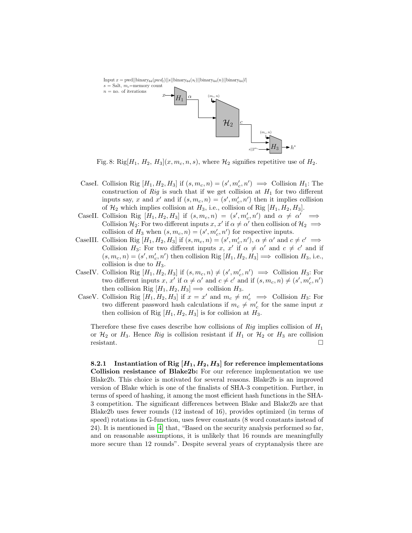<span id="page-24-1"></span>

Fig. 8: Rig[ $H_1$ ,  $H_2$ ,  $H_3(x, m_c, n, s)$ , where  $\mathcal{H}_2$  signifies repetitive use of  $H_2$ .

- CaseI. Collision Rig  $[H_1, H_2, H_3]$  if  $(s, m_c, n) = (s', m'_c, n') \implies$  Collision  $H_1$ : The construction of Rig is such that if we get collision at  $H_1$  for two different inputs say, x and x' and if  $(s, m_c, n) = (s', m'_c, n')$  then it implies collision of  $\mathcal{H}_2$  which implies collision at  $H_3$ , i.e., collision of Rig  $[H_1, H_2, H_3]$ .
- CaseII. Collision Rig  $[H_1, H_2, H_3]$  if  $(s, m_c, n) = (s', m'_c, n')$  and  $\alpha \neq \alpha' \implies$ Collision  $\mathcal{H}_2$ : For two different inputs  $x, x'$  if  $\alpha \neq \alpha'$  then collision of  $\mathcal{H}_2 \implies$ collision of  $H_3$  when  $(s, m_c, n) = (s', m'_c, n')$  for respective inputs.
- CaseIII. Collision Rig  $[H_1, H_2, H_3]$  if  $(s, m_c, n) = (s', m'_c, n')$ ,  $\alpha \neq \alpha'$  and  $c \neq c' \implies$ Collision  $H_3$ : For two different inputs  $x, x'$  if  $\alpha \neq \alpha'$  and  $c \neq c'$  and if  $(s, m_c, n) = (s', m'_c, n')$  then collision Rig  $[H_1, H_2, H_3] \Longrightarrow$  collision  $H_3$ , i.e., collision is due to  $H_3$ .
- CaseIV. Collision Rig  $[H_1, H_2, H_3]$  if  $(s, m_c, n) \neq (s', m'_c, n') \implies$  Collision  $H_3$ : For two different inputs x, x' if  $\alpha \neq \alpha'$  and  $c \neq c'$  and if  $(s, m_c, n) \neq (s', m'_c, n')$ then collision Rig  $[H_1, H_2, H_3] \implies$  collision  $H_3$ .
- CaseV. Collision Rig  $[H_1, H_2, H_3]$  if  $x = x'$  and  $m_c \neq m'_c \implies$  Collision  $H_3$ : For two different password hash calculations if  $m_c \neq m'_c$  for the same input x then collision of Rig  $[H_1, H_2, H_3]$  is for collision at  $H_3$ .

Therefore these five cases describe how collisions of  $\overline{R}i\overline{q}$  implies collision of  $H_1$ or  $\mathcal{H}_2$  or  $H_3$ . Hence  $Rig$  is collision resistant if  $H_1$  or  $\mathcal{H}_2$  or  $H_3$  are collision resistant. resistant.

<span id="page-24-0"></span>8.2.1 Instantiation of Rig  $[H_1, H_2, H_3]$  for reference implementations Collision resistance of Blake2b: For our reference implementation we use Blake2b. This choice is motivated for several reasons. Blake2b is an improved version of Blake which is one of the finalists of SHA-3 competition. Further, in terms of speed of hashing, it among the most efficient hash functions in the SHA-3 competition. The significant differences between Blake and Blake2b are that Blake2b uses fewer rounds (12 instead of 16), provides optimized (in terms of speed) rotations in G-function, uses fewer constants (8 word constants instead of 24). It is mentioned in [\[4\]](#page-29-13) that, "Based on the security analysis performed so far, and on reasonable assumptions, it is unlikely that 16 rounds are meaningfully more secure than 12 rounds". Despite several years of cryptanalysis there are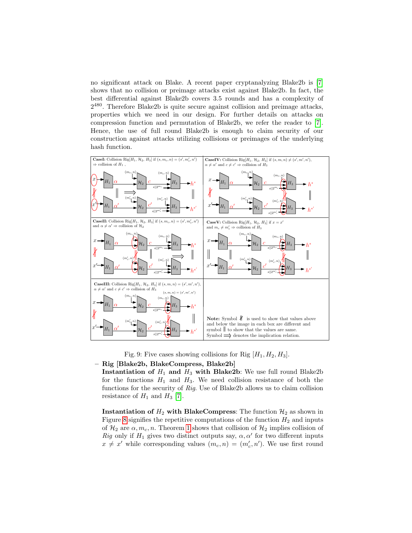no significant attack on Blake. A recent paper cryptanalyzing Blake2b is [\[7\]](#page-29-14) shows that no collision or preimage attacks exist against Blake2b. In fact, the best differential against Blake2b covers 3.5 rounds and has a complexity of 2 <sup>480</sup>. Therefore Blake2b is quite secure against collision and preimage attacks, properties which we need in our design. For further details on attacks on compression function and permutation of Blake2b, we refer the reader to [\[7\]](#page-29-14). Hence, the use of full round Blake2b is enough to claim security of our construction against attacks utilizing collisions or preimages of the underlying hash function.

<span id="page-25-0"></span>

Fig. 9: Five cases showing collisions for Rig  $[H_1, H_2, H_3]$ .

#### – Rig [Blake2b, BlakeCompress, Blake2b]

**Instantiation of**  $H_1$  **and**  $H_3$  **with Blake2b:** We use full round Blake2b for the functions  $H_1$  and  $H_3$ . We need collision resistance of both the functions for the security of Rig. Use of Blake2b allows us to claim collision resistance of  $H_1$  and  $H_3$  [\[7\]](#page-29-14).

**Instantiation of**  $H_2$  **with BlakeCompress:** The function  $\mathcal{H}_2$  as shown in Figure [8](#page-24-1) signifies the repetitive computations of the function  $H_2$  and inputs of  $\mathcal{H}_2$  are  $\alpha, m_c, n$ . Theorem [1](#page-23-0) shows that collision of  $\mathcal{H}_2$  implies collision of *Rig* only if  $H_1$  gives two distinct outputs say,  $\alpha, \alpha'$  for two different inputs  $x \neq x'$  while corresponding values  $(m_c, n) = (m'_c, n')$ . We use first round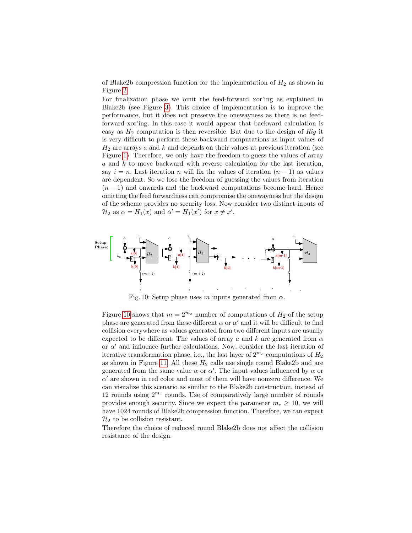of Blake2b compression function for the implementation of  $H_2$  as shown in Figure [2.](#page-11-0)

For finalization phase we omit the feed-forward xor'ing as explained in Blake2b (see Figure [3\)](#page-12-0). This choice of implementation is to improve the performance, but it does not preserve the onewayness as there is no feedforward xor'ing. In this case it would appear that backward calculation is easy as  $H_2$  computation is then reversible. But due to the design of  $Rig$  it is very difficult to perform these backward computations as input values of  $H_2$  are arrays  $a$  and  $k$  and depends on their values at previous iteration (see Figure [1\)](#page-5-0). Therefore, we only have the freedom to guess the values of array  $a$  and  $k$  to move backward with reverse calculation for the last iteration, say  $i = n$ . Last iteration n will fix the values of iteration  $(n - 1)$  as values are dependent. So we lose the freedom of guessing the values from iteration  $(n-1)$  and onwards and the backward computations become hard. Hence omitting the feed forwardness can compromise the onewayness but the design of the scheme provides no security loss. Now consider two distinct inputs of  $\mathcal{H}_2$  as  $\alpha = H_1(x)$  and  $\alpha' = H_1(x')$  for  $x \neq x'$ .

<span id="page-26-0"></span>

Fig. 10: Setup phase uses m inputs generated from  $\alpha$ .

Figure [10](#page-26-0) shows that  $m = 2^{m_c}$  number of computations of  $H_2$  of the setup phase are generated from these different  $\alpha$  or  $\alpha'$  and it will be difficult to find collision everywhere as values generated from two different inputs are usually expected to be different. The values of array a and k are generated from  $\alpha$ or  $\alpha'$  and influence further calculations. Now, consider the last iteration of iterative transformation phase, i.e., the last layer of  $2^{m_c}$  computations of  $H_2$ as shown in Figure [11.](#page-27-0) All these  $H_2$  calls use single round Blake2b and are generated from the same value  $\alpha$  or  $\alpha'$ . The input values influenced by  $\alpha$  or  $\alpha'$  are shown in red color and most of them will have nonzero difference. We can visualize this scenario as similar to the Blake2b construction, instead of 12 rounds using  $2^{m_c}$  rounds. Use of comparatively large number of rounds provides enough security. Since we expect the parameter  $m_c \geq 10$ , we will have 1024 rounds of Blake2b compression function. Therefore, we can expect  $\mathcal{H}_2$  to be collision resistant.

Therefore the choice of reduced round Blake2b does not affect the collision resistance of the design.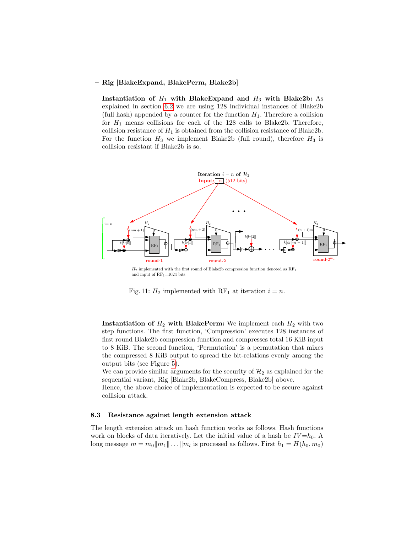#### – Rig [BlakeExpand, BlakePerm, Blake2b]

Instantiation of  $H_1$  with BlakeExpand and  $H_3$  with Blake2b: As explained in section [6.2](#page-11-1) we are using 128 individual instances of Blake2b (full hash) appended by a counter for the function  $H_1$ . Therefore a collision for  $H_1$  means collisions for each of the 128 calls to Blake2b. Therefore, collision resistance of  $H_1$  is obtained from the collision resistance of Blake2b. For the function  $H_3$  we implement Blake2b (full round), therefore  $H_3$  is collision resistant if Blake2b is so.

<span id="page-27-0"></span>

Fig. 11:  $H_2$  implemented with RF<sub>1</sub> at iteration  $i = n$ .

**Instantiation of**  $H_2$  **with BlakePerm:** We implement each  $H_2$  with two step functions. The first function, 'Compression' executes 128 instances of first round Blake2b compression function and compresses total 16 KiB input to 8 KiB. The second function, 'Permutation' is a permutation that mixes the compressed 8 KiB output to spread the bit-relations evenly among the output bits (see Figure [5\)](#page-14-0).

We can provide similar arguments for the security of  $\mathcal{H}_2$  as explained for the sequential variant, Rig [Blake2b, BlakeCompress, Blake2b] above.

Hence, the above choice of implementation is expected to be secure against collision attack.

#### 8.3 Resistance against length extension attack

The length extension attack on hash function works as follows. Hash functions work on blocks of data iteratively. Let the initial value of a hash be  $IV = h<sub>0</sub>$ . A long message  $m = m_0 || m_1 || \dots || m_l$  is processed as follows. First  $h_1 = H(h_0, m_0)$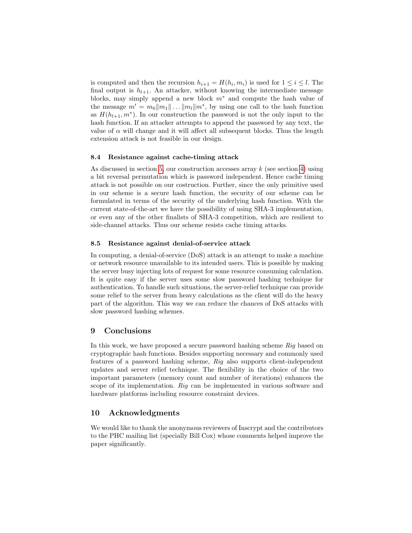is computed and then the recursion  $h_{i+1} = H(h_i, m_i)$  is used for  $1 \leq i \leq l$ . The final output is  $h_{l+1}$ . An attacker, without knowing the intermediate message blocks, may simply append a new block  $m^*$  and compute the hash value of the message  $m' = m_0 ||m_1|| \dots ||m_l|| m^*$ , by using one call to the hash function as  $H(h_{l+1}, m^*)$ . In our construction the password is not the only input to the hash function. If an attacker attempts to append the password by any text, the value of  $\alpha$  will change and it will affect all subsequent blocks. Thus the length extension attack is not feasible in our design.

#### 8.4 Resistance against cache-timing attack

As discussed in section [5,](#page-7-0) our construction accesses array  $k$  (see section [4\)](#page-4-0) using a bit reversal permutation which is password independent. Hence cache timing attack is not possible on our costruction. Further, since the only primitive used in our scheme is a secure hash function, the security of our scheme can be formulated in terms of the security of the underlying hash function. With the current state-of-the-art we have the possibility of using SHA-3 implementation, or even any of the other finalists of SHA-3 competition, which are resilient to side-channel attacks. Thus our scheme resists cache timing attacks.

#### 8.5 Resistance against denial-of-service attack

In computing, a denial-of-service (DoS) attack is an attempt to make a machine or network resource unavailable to its intended users. This is possible by making the server busy injecting lots of request for some resource consuming calculation. It is quite easy if the server uses some slow password hashing technique for authentication. To handle such situations, the server-relief technique can provide some relief to the server from heavy calculations as the client will do the heavy part of the algorithm. This way we can reduce the chances of DoS attacks with slow password hashing schemes.

# 9 Conclusions

In this work, we have proposed a secure password hashing scheme Rig based on cryptographic hash functions. Besides supporting necessary and commonly used features of a password hashing scheme, Rig also supports client-independent updates and server relief technique. The flexibility in the choice of the two important parameters (memory count and number of iterations) enhances the scope of its implementation. Rig can be implemented in various software and hardware platforms including resource constraint devices.

### 10 Acknowledgments

We would like to thank the anonymous reviewers of Inscrypt and the contributors to the PHC mailing list (specially Bill Cox) whose comments helped improve the paper significantly.